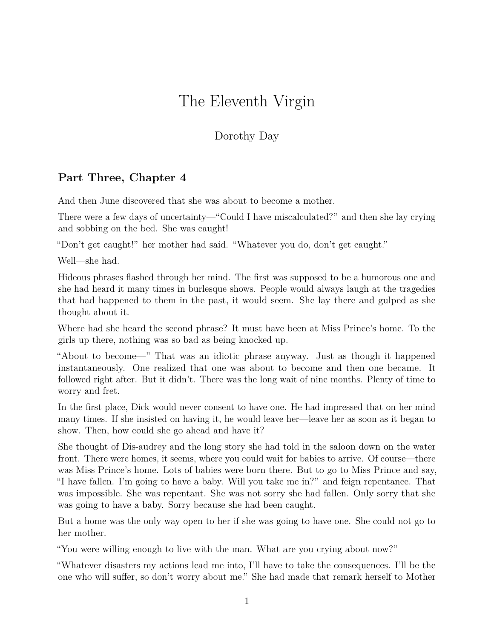## The Eleventh Virgin

## Dorothy Day

## **Part Three, Chapter 4**

And then June discovered that she was about to become a mother.

There were a few days of uncertainty—"Could I have miscalculated?" and then she lay crying and sobbing on the bed. She was caught!

"Don't get caught!" her mother had said. "Whatever you do, don't get caught."

Well—she had.

Hideous phrases flashed through her mind. The first was supposed to be a humorous one and she had heard it many times in burlesque shows. People would always laugh at the tragedies that had happened to them in the past, it would seem. She lay there and gulped as she thought about it.

Where had she heard the second phrase? It must have been at Miss Prince's home. To the girls up there, nothing was so bad as being knocked up.

"About to become—" That was an idiotic phrase anyway. Just as though it happened instantaneously. One realized that one was about to become and then one became. It followed right after. But it didn't. There was the long wait of nine months. Plenty of time to worry and fret.

In the first place, Dick would never consent to have one. He had impressed that on her mind many times. If she insisted on having it, he would leave her—leave her as soon as it began to show. Then, how could she go ahead and have it?

She thought of Dis-audrey and the long story she had told in the saloon down on the water front. There were homes, it seems, where you could wait for babies to arrive. Of course—there was Miss Prince's home. Lots of babies were born there. But to go to Miss Prince and say, "I have fallen. I'm going to have a baby. Will you take me in?" and feign repentance. That was impossible. She was repentant. She was not sorry she had fallen. Only sorry that she was going to have a baby. Sorry because she had been caught.

But a home was the only way open to her if she was going to have one. She could not go to her mother.

"You were willing enough to live with the man. What are you crying about now?"

"Whatever disasters my actions lead me into, I'll have to take the consequences. I'll be the one who will suffer, so don't worry about me." She had made that remark herself to Mother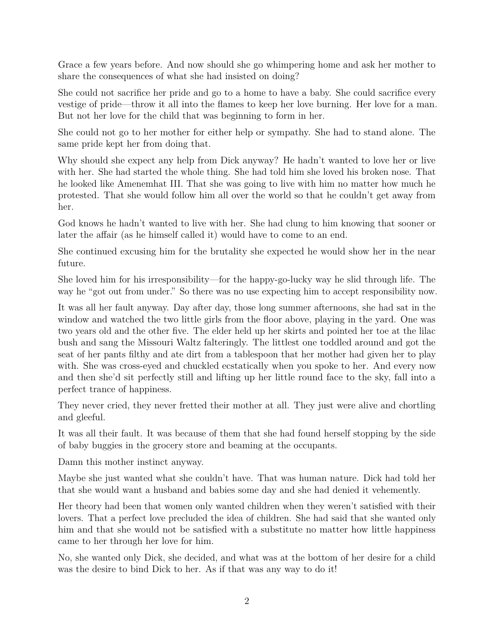Grace a few years before. And now should she go whimpering home and ask her mother to share the consequences of what she had insisted on doing?

She could not sacrifice her pride and go to a home to have a baby. She could sacrifice every vestige of pride—throw it all into the flames to keep her love burning. Her love for a man. But not her love for the child that was beginning to form in her.

She could not go to her mother for either help or sympathy. She had to stand alone. The same pride kept her from doing that.

Why should she expect any help from Dick anyway? He hadn't wanted to love her or live with her. She had started the whole thing. She had told him she loved his broken nose. That he looked like Amenemhat III. That she was going to live with him no matter how much he protested. That she would follow him all over the world so that he couldn't get away from her.

God knows he hadn't wanted to live with her. She had clung to him knowing that sooner or later the affair (as he himself called it) would have to come to an end.

She continued excusing him for the brutality she expected he would show her in the near future.

She loved him for his irresponsibility—for the happy-go-lucky way he slid through life. The way he "got out from under." So there was no use expecting him to accept responsibility now.

It was all her fault anyway. Day after day, those long summer afternoons, she had sat in the window and watched the two little girls from the floor above, playing in the yard. One was two years old and the other five. The elder held up her skirts and pointed her toe at the lilac bush and sang the Missouri Waltz falteringly. The littlest one toddled around and got the seat of her pants filthy and ate dirt from a tablespoon that her mother had given her to play with. She was cross-eyed and chuckled ecstatically when you spoke to her. And every now and then she'd sit perfectly still and lifting up her little round face to the sky, fall into a perfect trance of happiness.

They never cried, they never fretted their mother at all. They just were alive and chortling and gleeful.

It was all their fault. It was because of them that she had found herself stopping by the side of baby buggies in the grocery store and beaming at the occupants.

Damn this mother instinct anyway.

Maybe she just wanted what she couldn't have. That was human nature. Dick had told her that she would want a husband and babies some day and she had denied it vehemently.

Her theory had been that women only wanted children when they weren't satisfied with their lovers. That a perfect love precluded the idea of children. She had said that she wanted only him and that she would not be satisfied with a substitute no matter how little happiness came to her through her love for him.

No, she wanted only Dick, she decided, and what was at the bottom of her desire for a child was the desire to bind Dick to her. As if that was any way to do it!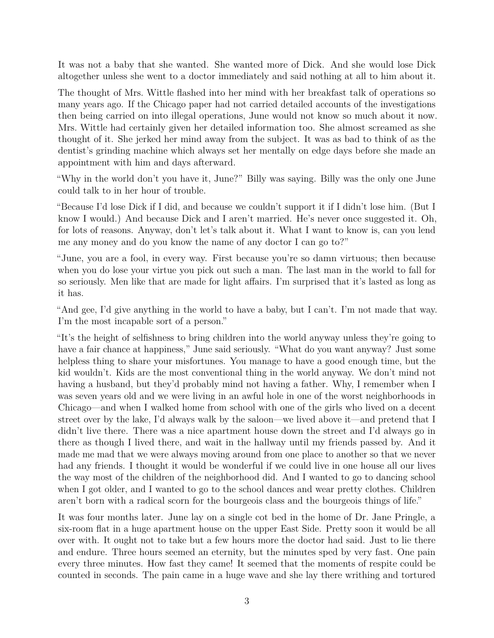It was not a baby that she wanted. She wanted more of Dick. And she would lose Dick altogether unless she went to a doctor immediately and said nothing at all to him about it.

The thought of Mrs. Wittle flashed into her mind with her breakfast talk of operations so many years ago. If the Chicago paper had not carried detailed accounts of the investigations then being carried on into illegal operations, June would not know so much about it now. Mrs. Wittle had certainly given her detailed information too. She almost screamed as she thought of it. She jerked her mind away from the subject. It was as bad to think of as the dentist's grinding machine which always set her mentally on edge days before she made an appointment with him and days afterward.

"Why in the world don't you have it, June?" Billy was saying. Billy was the only one June could talk to in her hour of trouble.

"Because I'd lose Dick if I did, and because we couldn't support it if I didn't lose him. (But I know I would.) And because Dick and I aren't married. He's never once suggested it. Oh, for lots of reasons. Anyway, don't let's talk about it. What I want to know is, can you lend me any money and do you know the name of any doctor I can go to?"

"June, you are a fool, in every way. First because you're so damn virtuous; then because when you do lose your virtue you pick out such a man. The last man in the world to fall for so seriously. Men like that are made for light affairs. I'm surprised that it's lasted as long as it has.

"And gee, I'd give anything in the world to have a baby, but I can't. I'm not made that way. I'm the most incapable sort of a person."

"It's the height of selfishness to bring children into the world anyway unless they're going to have a fair chance at happiness," June said seriously. "What do you want anyway? Just some helpless thing to share your misfortunes. You manage to have a good enough time, but the kid wouldn't. Kids are the most conventional thing in the world anyway. We don't mind not having a husband, but they'd probably mind not having a father. Why, I remember when I was seven years old and we were living in an awful hole in one of the worst neighborhoods in Chicago—and when I walked home from school with one of the girls who lived on a decent street over by the lake, I'd always walk by the saloon—we lived above it—and pretend that I didn't live there. There was a nice apartment house down the street and I'd always go in there as though I lived there, and wait in the hallway until my friends passed by. And it made me mad that we were always moving around from one place to another so that we never had any friends. I thought it would be wonderful if we could live in one house all our lives the way most of the children of the neighborhood did. And I wanted to go to dancing school when I got older, and I wanted to go to the school dances and wear pretty clothes. Children aren't born with a radical scorn for the bourgeois class and the bourgeois things of life."

It was four months later. June lay on a single cot bed in the home of Dr. Jane Pringle, a six-room flat in a huge apartment house on the upper East Side. Pretty soon it would be all over with. It ought not to take but a few hours more the doctor had said. Just to lie there and endure. Three hours seemed an eternity, but the minutes sped by very fast. One pain every three minutes. How fast they came! It seemed that the moments of respite could be counted in seconds. The pain came in a huge wave and she lay there writhing and tortured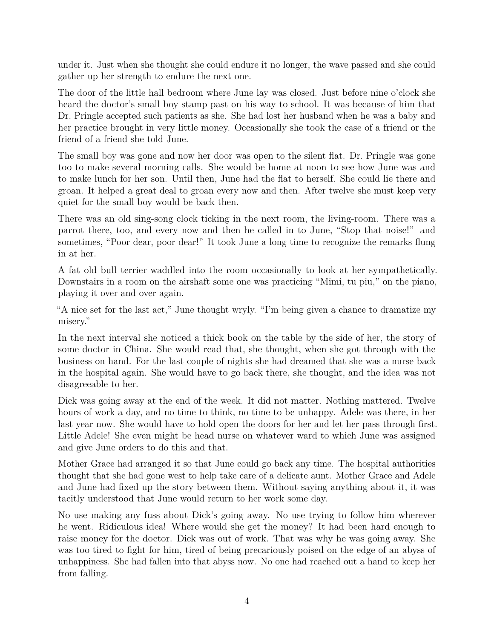under it. Just when she thought she could endure it no longer, the wave passed and she could gather up her strength to endure the next one.

The door of the little hall bedroom where June lay was closed. Just before nine o'clock she heard the doctor's small boy stamp past on his way to school. It was because of him that Dr. Pringle accepted such patients as she. She had lost her husband when he was a baby and her practice brought in very little money. Occasionally she took the case of a friend or the friend of a friend she told June.

The small boy was gone and now her door was open to the silent flat. Dr. Pringle was gone too to make several morning calls. She would be home at noon to see how June was and to make lunch for her son. Until then, June had the flat to herself. She could lie there and groan. It helped a great deal to groan every now and then. After twelve she must keep very quiet for the small boy would be back then.

There was an old sing-song clock ticking in the next room, the living-room. There was a parrot there, too, and every now and then he called in to June, "Stop that noise!" and sometimes, "Poor dear, poor dear!" It took June a long time to recognize the remarks flung in at her.

A fat old bull terrier waddled into the room occasionally to look at her sympathetically. Downstairs in a room on the airshaft some one was practicing "Mimi, tu piu," on the piano, playing it over and over again.

"A nice set for the last act," June thought wryly. "I'm being given a chance to dramatize my misery."

In the next interval she noticed a thick book on the table by the side of her, the story of some doctor in China. She would read that, she thought, when she got through with the business on hand. For the last couple of nights she had dreamed that she was a nurse back in the hospital again. She would have to go back there, she thought, and the idea was not disagreeable to her.

Dick was going away at the end of the week. It did not matter. Nothing mattered. Twelve hours of work a day, and no time to think, no time to be unhappy. Adele was there, in her last year now. She would have to hold open the doors for her and let her pass through first. Little Adele! She even might be head nurse on whatever ward to which June was assigned and give June orders to do this and that.

Mother Grace had arranged it so that June could go back any time. The hospital authorities thought that she had gone west to help take care of a delicate aunt. Mother Grace and Adele and June had fixed up the story between them. Without saying anything about it, it was tacitly understood that June would return to her work some day.

No use making any fuss about Dick's going away. No use trying to follow him wherever he went. Ridiculous idea! Where would she get the money? It had been hard enough to raise money for the doctor. Dick was out of work. That was why he was going away. She was too tired to fight for him, tired of being precariously poised on the edge of an abyss of unhappiness. She had fallen into that abyss now. No one had reached out a hand to keep her from falling.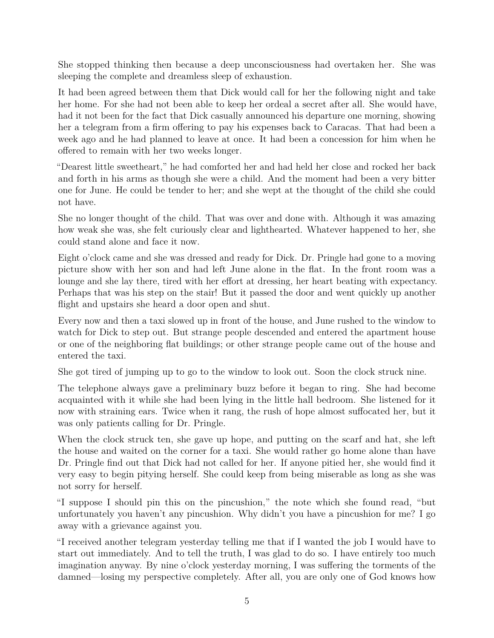She stopped thinking then because a deep unconsciousness had overtaken her. She was sleeping the complete and dreamless sleep of exhaustion.

It had been agreed between them that Dick would call for her the following night and take her home. For she had not been able to keep her ordeal a secret after all. She would have, had it not been for the fact that Dick casually announced his departure one morning, showing her a telegram from a firm offering to pay his expenses back to Caracas. That had been a week ago and he had planned to leave at once. It had been a concession for him when he offered to remain with her two weeks longer.

"Dearest little sweetheart," he had comforted her and had held her close and rocked her back and forth in his arms as though she were a child. And the moment had been a very bitter one for June. He could be tender to her; and she wept at the thought of the child she could not have.

She no longer thought of the child. That was over and done with. Although it was amazing how weak she was, she felt curiously clear and lighthearted. Whatever happened to her, she could stand alone and face it now.

Eight o'clock came and she was dressed and ready for Dick. Dr. Pringle had gone to a moving picture show with her son and had left June alone in the flat. In the front room was a lounge and she lay there, tired with her effort at dressing, her heart beating with expectancy. Perhaps that was his step on the stair! But it passed the door and went quickly up another flight and upstairs she heard a door open and shut.

Every now and then a taxi slowed up in front of the house, and June rushed to the window to watch for Dick to step out. But strange people descended and entered the apartment house or one of the neighboring flat buildings; or other strange people came out of the house and entered the taxi.

She got tired of jumping up to go to the window to look out. Soon the clock struck nine.

The telephone always gave a preliminary buzz before it began to ring. She had become acquainted with it while she had been lying in the little hall bedroom. She listened for it now with straining ears. Twice when it rang, the rush of hope almost suffocated her, but it was only patients calling for Dr. Pringle.

When the clock struck ten, she gave up hope, and putting on the scarf and hat, she left the house and waited on the corner for a taxi. She would rather go home alone than have Dr. Pringle find out that Dick had not called for her. If anyone pitied her, she would find it very easy to begin pitying herself. She could keep from being miserable as long as she was not sorry for herself.

"I suppose I should pin this on the pincushion," the note which she found read, "but unfortunately you haven't any pincushion. Why didn't you have a pincushion for me? I go away with a grievance against you.

"I received another telegram yesterday telling me that if I wanted the job I would have to start out immediately. And to tell the truth, I was glad to do so. I have entirely too much imagination anyway. By nine o'clock yesterday morning, I was suffering the torments of the damned—losing my perspective completely. After all, you are only one of God knows how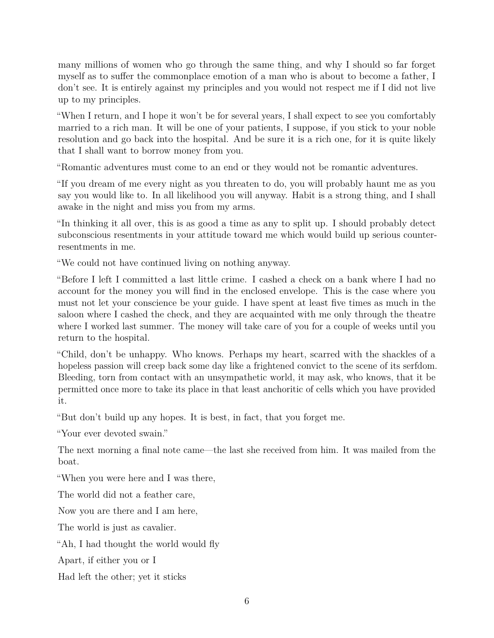many millions of women who go through the same thing, and why I should so far forget myself as to suffer the commonplace emotion of a man who is about to become a father, I don't see. It is entirely against my principles and you would not respect me if I did not live up to my principles.

"When I return, and I hope it won't be for several years, I shall expect to see you comfortably married to a rich man. It will be one of your patients, I suppose, if you stick to your noble resolution and go back into the hospital. And be sure it is a rich one, for it is quite likely that I shall want to borrow money from you.

"Romantic adventures must come to an end or they would not be romantic adventures.

"If you dream of me every night as you threaten to do, you will probably haunt me as you say you would like to. In all likelihood you will anyway. Habit is a strong thing, and I shall awake in the night and miss you from my arms.

"In thinking it all over, this is as good a time as any to split up. I should probably detect subconscious resentments in your attitude toward me which would build up serious counterresentments in me.

"We could not have continued living on nothing anyway.

"Before I left I committed a last little crime. I cashed a check on a bank where I had no account for the money you will find in the enclosed envelope. This is the case where you must not let your conscience be your guide. I have spent at least five times as much in the saloon where I cashed the check, and they are acquainted with me only through the theatre where I worked last summer. The money will take care of you for a couple of weeks until you return to the hospital.

"Child, don't be unhappy. Who knows. Perhaps my heart, scarred with the shackles of a hopeless passion will creep back some day like a frightened convict to the scene of its serfdom. Bleeding, torn from contact with an unsympathetic world, it may ask, who knows, that it be permitted once more to take its place in that least anchoritic of cells which you have provided it.

"But don't build up any hopes. It is best, in fact, that you forget me.

"Your ever devoted swain."

The next morning a final note came—the last she received from him. It was mailed from the boat.

"When you were here and I was there,

The world did not a feather care,

Now you are there and I am here,

The world is just as cavalier.

"Ah, I had thought the world would fly

Apart, if either you or I

Had left the other; yet it sticks